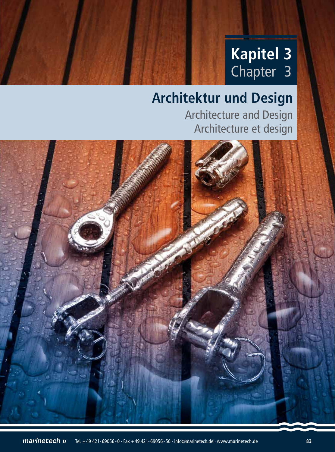# **Kapitel 3** Chapter 3

**Architecture et design 3**

# **Architektur und Design** Architecture and Design Architecture et design

**Architektur und Design**

**Architecture and design**

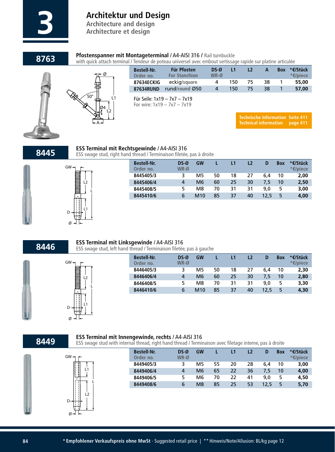

**8763** Pfostenspanner mit Montageterminal / A4-AISI 316 / Rail turnbuckle<br>With quick attach terminal / Tendeur de poteau universel avec embout sertissage rapide sur platine articulée



| Ø<br>$50^\circ$<br>L1<br>┍<br>4<br>Ľ2 |
|---------------------------------------|
|                                       |

| <b>Bestell-Nr.</b> | <b>Für Pfosten</b>       | $DS-\alpha$      | 11  |    | A  | Box *€/Stück |
|--------------------|--------------------------|------------------|-----|----|----|--------------|
| Order no.          | <b>For Stanchion</b>     | $WR-Ø$           |     |    |    | *€/piece     |
| 87634ECKIG         | eckig/square             | 4                | 150 | 75 | 38 | 55,00        |
|                    | 87634RUND rund/round Ø50 | $\boldsymbol{A}$ | 150 | 75 | 38 | 57,00        |
| _  _  _ . _        |                          |                  |     |    |    |              |

Für Seile: 1x19 – 7x7 – 7x19 For wire: 1x19 – 7x7 – 7x19

> **Technische Information Seite 411 Technical information page 411**

**8445**





## **ESS Terminal mit Rechtsgewinde** / A4-AISI 316

ESS swage stud, right hand thread / Terminaison filetée, pas à droite

| <b>Bestell-Nr.</b><br>Order no. | $DS-Ø$<br>WR-Ø | <b>GW</b>       |    | L1 | L2 | D    | <b>Box</b> | *€/Stück<br>*€/piece |
|---------------------------------|----------------|-----------------|----|----|----|------|------------|----------------------|
| 8445405/3                       | 3              | M5              | 50 | 18 | 27 | 6.4  | 10         | 2,00                 |
| 8445406/4                       | 4              | M6              | 60 | 25 | 30 | 7.5  | 10         | 2,50                 |
| 8445408/5                       | 5              | M8              | 70 | 31 | 31 | 9.0  | 5          | 3,00                 |
| 8445410/6                       | 6              | M <sub>10</sub> | 85 | 37 | 40 | 12.5 | 5          | 4,00                 |

**8446**





### **ESS Terminal mit Linksgewinde** / A4-AISI 316

**DS-Ø GW L L1 L2 D Box \*€/Stück Bestell-Nr. Order no.** ESS swage stud, left hand thread / Terminaison filetée, pas à gauche

| Order no. | WR-Ø |                 |    |    |    |      |    | *€/piece* |
|-----------|------|-----------------|----|----|----|------|----|-----------|
| 8446405/3 | 3    | M5              | 50 | 18 | 27 | 6.4  | 10 | 2,30      |
| 8446406/4 | 4    | M6              | 60 | 25 | 30 | 7.5  | 10 | 2,80      |
| 8446408/5 | 5    | M8              | 70 | 31 | 31 | 9.0  | 5  | 3,30      |
| 8446410/6 | 6    | M <sub>10</sub> | 85 | 37 | 40 | 12.5 | 5  | 4,30      |

**8449**



### **ESS Terminal mit Innengewinde, rechts** / A4-AISI 316

ESS swage stud with internal thread, right hand thread / Terminaison avec filetage interne, pas à droite

| <b>Bestell-Nr.</b><br>Order no. | $DS-Ø$<br>$WR-\emptyset$ | GW             |    | I 1 | L2 | D    | <b>Box</b> | *€/Stück<br>*€/piece* |
|---------------------------------|--------------------------|----------------|----|-----|----|------|------------|-----------------------|
| 8449405/3                       | 3                        | M5             | 55 | 20  | 28 | 6.4  | 10         | 3,00                  |
| 8449406/4                       | 4                        | M6             | 65 | 22  | 36 | 7.5  | 10         | 4,00                  |
| 8449406/5                       | 5                        | M6             | 70 | 22  | 41 | 9.0  | 5          | 4,50                  |
| 8449408/6                       | 6                        | M <sub>8</sub> | 85 | 25  | 53 | 12.5 | 5          | 5,70                  |
|                                 |                          |                |    |     |    |      |            |                       |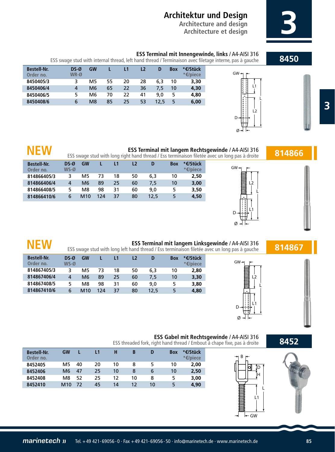# **Architektur und Design Architecture and design<br>Architecture et design<br>Architecture et design**

## **Architecture and design**

**ESS Terminal mit Innengewinde, links / A4-AISI 316**<br>**B450** ESS swage stud with internal thread, left hand thread / Terminaison avec filetage interne, pas à gauche

| <b>Bestell-Nr.</b><br>Order no. | $DS-Ø$<br>$WR-Ø$ | GW             |    | L1 |    | D    | <b>Box</b> | *€/Stück<br>*€/piece |
|---------------------------------|------------------|----------------|----|----|----|------|------------|----------------------|
| 8450405/3                       |                  | M5             | 55 | 20 | 28 | 6.3  | 10         | 3,30                 |
| 8450406/4                       | 4                | M6             | 65 | 22 | 36 | 7,5  | 10         | 4,30                 |
| 8450406/5                       | 5                | M6             | 70 | 22 | 41 | 9.0  |            | 4,80                 |
| 8450408/6                       | 6                | M <sub>8</sub> | 85 | 25 | 53 | 12,5 |            | 6,00                 |



L L2

> L L2

L1

L1

GW

Ø

GW

Ø

B

D

D

**814866**

## **ESS Terminal mit langem Rechtsgewinde** / A4-AISI 316

ESS swage stud with long right hand thread / Ess terminaison filetée avec un long pas à droite

| <b>Bestell-Nr.</b><br>Order no. | $DS-Ø$<br>WS-Ø | GW              |     | L1 | L2 | D              | <b>Box</b> | *€/Stück<br>*€/piece |
|---------------------------------|----------------|-----------------|-----|----|----|----------------|------------|----------------------|
| 814866405/3                     | 3              | M5              | 73  | 18 | 50 | 6.3            | 10         | 2,50                 |
| 814866406/4                     | 4              | M6              | 89  | 25 | 60 | 7.5            | 10         | 3,00                 |
| 814866408/5                     | 5              | M8              | 98  | 31 | 60 | 9.0            | 5          | 3,50                 |
| 814866410/6                     | 6              | M <sub>10</sub> | 124 | 37 | 80 | $12.5^{\circ}$ | 5          | 4,50                 |

 **NEW**

 **NEW**



**ESS Terminal mit langem Linksgewinde** / A4-AISI 316 ESS swage stud with long left hand thread / Ess terminaison filetée avec un long pas à gauche

| <b>Bestell-Nr.</b><br>Order no. | $DS-\alpha$<br>WS-Ø | GW  |     |    | L2 | D    | <b>Box</b> | *€/Stück<br>*€/piece* |
|---------------------------------|---------------------|-----|-----|----|----|------|------------|-----------------------|
| 814867405/3                     | ٦                   | M5  | 73  | 18 | 50 | 6.3  | 10         | 2,80                  |
| 814867406/4                     | 4                   | M6  | 89  | 25 | 60 | 7.5  | 10         | 3,30                  |
| 814867408/5                     | 5                   | M8  | 98  | 31 | 60 | 9.0  | 5          | 3,80                  |
| 814867410/6                     | 6                   | M10 | 124 | 37 | 80 | 12,5 | 5          | 4,80                  |



**8452**

## **ESS Gabel mit Rechtsgewinde** / A4-AISI 316

ESS threaded fork, right hand thread / Embout á chape fixe, pas à droite

| <b>Bestell-Nr.</b><br>Order no. | GW              |    | L1 | н  | B  | D  | <b>Box</b> | *€/Stück<br>*€/piece |
|---------------------------------|-----------------|----|----|----|----|----|------------|----------------------|
| 8452405                         | M5              | 40 | 20 | 10 | 8  | 5  | 10         | 2,00                 |
| 8452406                         | M6              | 47 | 25 | 10 | 8  | 6  | 10         | 2,50                 |
| 8452408                         | M8              | 52 | 25 | 12 | 10 | 8  | 5          | 3,00                 |
| 8452410                         | M <sub>10</sub> | 72 | 45 | 14 | 12 | 10 | 5          | 4,90                 |

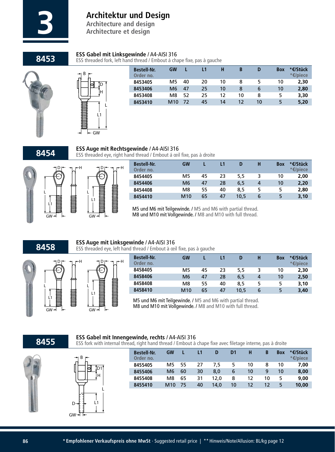

## **8453**

## **ESS Gabel mit Linksgewinde** / A4-AISI 316

**ESS Auge mit Rechtsgewinde** / A4-AISI 316

ESS threaded eye, right hand thread / Embout á œil fixe, pas à droite

ESS threaded fork, left hand thread / Embout á chape fixe, pas à gauche





| <b>Bestell-Nr.</b><br>Order no. | GW             |    |    |    |     | D  | <b>Box</b> | *€/Stück<br>*€/piece |
|---------------------------------|----------------|----|----|----|-----|----|------------|----------------------|
| 8453405                         | M <sub>5</sub> | 40 | 20 | 10 |     |    | 10         | 2,30                 |
| 8453406                         | M <sub>6</sub> | 47 | 25 | 10 | 8   | 6  | 10         | 2,80                 |
| 8453408                         | M8             | 52 | 25 | 12 | 10  | 8  | 5          | 3,30                 |
| 8453410                         | M10            | 72 | 45 | 14 | 12. | 10 | 5          | 5,20                 |



## L L1 GW D |← ㅋ |←H

| ſ |                 | н |
|---|-----------------|---|
|   |                 |   |
|   |                 |   |
|   |                 |   |
|   | L               |   |
|   | L1              |   |
|   |                 |   |
|   |                 |   |
|   | $\overline{GW}$ |   |
|   |                 |   |

| <b>Bestell-Nr.</b><br>Order no. | GW              |    | L1 | D    | н | <b>Box</b> | *€/Stück<br>*€/piece |
|---------------------------------|-----------------|----|----|------|---|------------|----------------------|
| 8454405                         | M <sub>5</sub>  | 45 | 23 | 5,5  | 3 | 10         | 2,00                 |
| 8454406                         | M <sub>6</sub>  | 47 | 28 | 6, 5 | 4 | 10         | 2,20                 |
| 8454408                         | M8              | 55 | 40 | 8.5  | 5 | 5          | 2,80                 |
| 8454410                         | M <sub>10</sub> | 65 | 47 | 10.5 | 6 | 5          | 3,10                 |

M5 und M6 mit Teilgewinde. / M5 and M6 with partial thread. M8 und M10 mit Vollgewinde. / M8 and M10 with full thread.





| ۰H |         | ┙ |
|----|---------|---|
|    | L<br>L1 |   |
|    | GW      |   |

| <b>Bestell-Nr.</b><br>Order no. | GW              |    | L1 | D    | н | <b>Box</b> | *€/Stück<br>*€/piece |
|---------------------------------|-----------------|----|----|------|---|------------|----------------------|
| 8458405                         | M5              | 45 | 23 | 5.5  | 3 | 10         | 2,30                 |
| 8458406                         | M <sub>6</sub>  | 47 | 28 | 6.5  | 4 | 10         | 2,50                 |
| 8458408                         | M8              | 55 | 40 | 8.5  | 5 | 5          | 3.10                 |
| 8458410                         | M <sub>10</sub> | 65 | 47 | 10.5 | 6 | 5          | 3,40                 |

M5 und M6 mit Teilgewinde. / M5 and M6 with partial thread. M8 und M10 mit Vollgewinde. / M8 and M10 with full thread.

**8455**



|  |  |  | ESS Gabel mit Innengewinde, rechts / A4-AISI 316 |  |  |  |
|--|--|--|--------------------------------------------------|--|--|--|
|--|--|--|--------------------------------------------------|--|--|--|

ESS fork with internal thread, right hand thread / Embout à chape fixe avec filetage interne, pas à droite

| <b>Bestell-Nr.</b><br>Order no. | <b>GW</b> |    | l 1 | D    | D <sub>1</sub> | Н  |    | <b>Box</b> | *€/Stück<br>$*$ $\varepsilon$ /piece |
|---------------------------------|-----------|----|-----|------|----------------|----|----|------------|--------------------------------------|
| 8455405                         | M5        | 55 | 27  | 7.5  | 5              | 10 | 8  | 10         | 7,00                                 |
| 8455406                         | M6        | 60 | 30  | 8.0  | 6              | 10 | 9  | 10         | 8,00                                 |
| 8455408                         | M8        | 65 | 31  | 12.0 | 8              | 12 | 10 | 5          | 9,00                                 |
| 8455410                         | M10       | 75 | 40  | 14.0 | 10             | 12 | 12 | ь          | 10,00                                |
|                                 |           |    |     |      |                |    |    |            |                                      |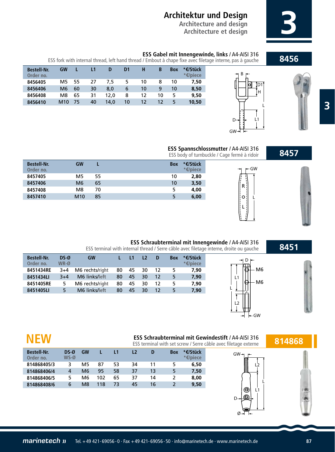# **Architecture and design<br>Architecture et design<br>Architecture et design**

## **Architektur und Design**

**Architecture and design**

## **ESS Gabel mit Innengewinde, links** / A4-AISI 316

ESS fork with internal thread, left hand thread / Embout à chape fixe avec filetage interne, pas à gauche



**8456**

L

H ĮD.

L1

| <b>Bestell-Nr.</b><br>Order no. | GW              |    | l 1 | D    | D1 | н  | В  | Box | *€/Stück<br>*€/piece |
|---------------------------------|-----------------|----|-----|------|----|----|----|-----|----------------------|
| 8456405                         | M5              | 55 | 27  | 7.5  | 5  | 10 | 8  | 10  | 7,50                 |
| 8456406                         | M <sub>6</sub>  | 60 | 30  | 8.0  | 6  | 10 | 9  | 10  | 8,50                 |
| 8456408                         | M8              | 65 | 31  | 12.0 | 8  | 12 | 10 | 5   | 9,50                 |
| 8456410                         | M <sub>10</sub> | 75 | 40  | 14.0 | 10 | 12 | 12 | 5   | 10,50                |

**8457**



R

 $\circ$ 

GW

D

B

L

L

L1

D

 $\Box$ 

L2

Ŧ

L

GW

| <b>Bestell-Nr.</b><br>Order no. | GW              |    | <b>Box</b> | *€/Stück<br>*€/piece |
|---------------------------------|-----------------|----|------------|----------------------|
| 8457405                         | M5              | 55 | 10         | 2,80                 |
| 8457406                         | M <sub>6</sub>  | 65 | 10         | 3,50                 |
| 8457408                         | M8              | 70 | 5          | 4,00                 |
| 8457410                         | M <sub>10</sub> | 85 | 5          | 6,00                 |
|                                 |                 |    |            |                      |





| 8451 | <b>ESS Schraubterminal mit Innengewinde / A4-AISI 316</b><br>internal thread / Serre câble avec filetage interne, droite ou gauche |
|------|------------------------------------------------------------------------------------------------------------------------------------|
|      |                                                                                                                                    |

| <b>Bestell-Nr.</b> | $DS-Ø$ | <b>GW</b>       |    |    | 12 | D  | <b>Box</b> | *€/Stück |
|--------------------|--------|-----------------|----|----|----|----|------------|----------|
| Order no.          | $WR-Ø$ |                 |    |    |    |    |            | *€/piece |
| 8451434RE          | $3+4$  | M6 rechts/right | 80 | 45 | 30 | 12 | 5          | 7,90     |
| 8451434LI          | $3+4$  | M6 links/left   | 80 | 45 | 30 | 12 | 5          | 7,90     |
| 8451405RE          | 5.     | M6 rechts/right | 80 | 45 | 30 | 12 | 5          | 7,90     |
| 8451405LI          | 5.     | M6 links/left   | 80 | 45 | 30 | 12 | 5.         | 7,90     |

ESS terminal with



**REW**<br>ESS Schraubterminal mit Gewindestift / A4-AISI 316<br>ESS terminal with set screw / Serre câble avec filetage externe **814868** 

| <b>Bestell-Nr.</b><br>Order no. | $DS-Ø$<br>WS-Ø | GW             |     | l 1 | L <sub>2</sub> | D  | <b>Box</b> | *€/Stück<br>*€/piece |
|---------------------------------|----------------|----------------|-----|-----|----------------|----|------------|----------------------|
| 814868405/3                     | 3              | M5             | 87  | 53  | 34             | 11 | 5          | 6,50                 |
| 814868406/4                     | 4              | M <sub>6</sub> | 95  | 58  | 37             | 13 | 5          | 7,50                 |
| 814868406/5                     | 5              | M6             | 102 | 65  | 37             | 14 | 2          | 8,00                 |
| 814868408/6                     | 6              | M <sub>8</sub> | 118 | 73  | 45             | 16 |            | 9,50                 |
|                                 |                |                |     |     |                |    |            |                      |



GW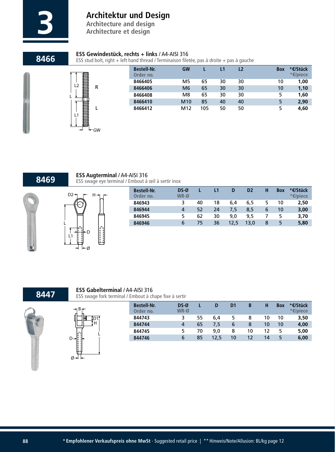

**ESS Augterminal** / A4-AISI 316

**ESS Gabelterminal** / A4-AISI 316

ESS swage eye terminal / Embout á œil à sertir inox

## **8466**

### **ESS Gewindestück, rechts + links** / A4-AISI 316

ESS stud bolt, right + left hand thread / Terminaison filetée, pas á droite + pas à gauche



| <b>Bestell-Nr.</b><br>Order no. | <b>GW</b>       |     | L1 | L2 | <b>Box</b> | *€/Stück<br>*€/piece |
|---------------------------------|-----------------|-----|----|----|------------|----------------------|
| 8466405                         | M <sub>5</sub>  | 65  | 30 | 30 | 10         | 1,00                 |
| 8466406                         | M <sub>6</sub>  | 65  | 30 | 30 | 10         | 1,10                 |
| 8466408                         | M8              | 65  | 30 | 30 | 5          | 1,60                 |
| 8466410                         | M <sub>10</sub> | 85  | 40 | 40 | 5          | 2,90                 |
| 8466412                         | M <sub>12</sub> | 105 | 50 | 50 | 5          | 4,60                 |

**8469**



| <b>Bestell-Nr.</b><br>Order no. | $DS-Ø$<br>$WR-Ø$ |    | L1 |      | D <sub>2</sub> | н | <b>Box</b> | *€/Stück<br>*€/piece |
|---------------------------------|------------------|----|----|------|----------------|---|------------|----------------------|
| 846943                          | 3                | 40 | 18 | 6.4  | 6.5            |   | 10         | 2,50                 |
| 846944                          | 4                | 52 | 24 | 7.5  | 8.5            | 6 | 10         | 3,00                 |
| 846945                          | 5                | 62 | 30 | 9.0  | 9.5            |   |            | 3,70                 |
| 846946                          | 6                | 75 | 36 | 12,5 | 13.0           | 8 |            | 5,80                 |

**8447**





| inal / Embout à chape fixe à sertir |                          |    |     |    |    |    |            |                                   |
|-------------------------------------|--------------------------|----|-----|----|----|----|------------|-----------------------------------|
| <b>Bestell-Nr.</b><br>Order no.     | $DS-Ø$<br>$WR-\emptyset$ |    |     | D1 | B  | н  | <b>Box</b> | *€/Stück<br>$*$ $\epsilon$ /piece |
| 844743                              |                          | 55 | 6.4 | 5  | 8  | 10 | 10         | 3,50                              |
| 844744                              | 4                        | 65 | 7.5 | 6  | 8  | 10 | 10         | 4,00                              |
| 844745                              |                          | 70 | 9.0 | 8  | 10 | 12 | 5          | 5,00                              |

6 85 12,5 10 12 14 5 **6,00**

**844746**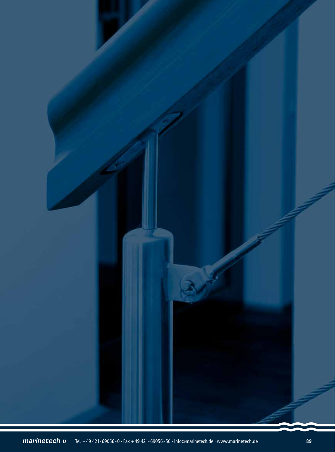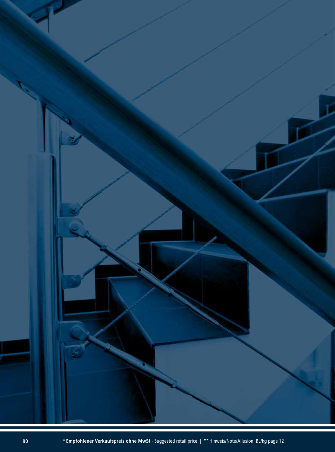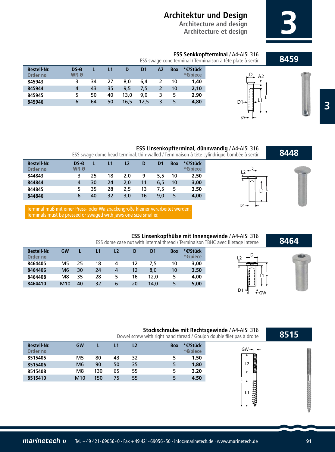**Architecture and design**



|      | <b>ESS Senkkopfterminal / A4-AISI 316</b>                   |
|------|-------------------------------------------------------------|
| 8459 | ESS swage cone terminal / Terminaison à tête plate à sertir |

| <b>Bestell-Nr.</b><br>Order no. | $DS-Ø$<br>$WR-Ø$ |    | l 1 | D    | D1   | Α2 | <b>Box</b> | *€/Stück<br>$*$ $\varepsilon$ /piece |
|---------------------------------|------------------|----|-----|------|------|----|------------|--------------------------------------|
| 845943                          | 3                | 34 | 27  | 8.0  | 6.4  |    | 10         | 1.40                                 |
| 845944                          | 4                | 43 | 35  | 9.5  | 7,5  |    | 10         | 2,10                                 |
| 845945                          | 5                | 50 | 40  | 13.0 | 9.0  | 3  | 5          | 2,90                                 |
| 845946                          | 6                | 64 | 50  | 16,5 | 12,5 | 3  | 5          | 4,80                                 |



### **ESS Linsenkopfterminal, dünnwandig** / A4-AISI 316

ESS swage dome head terminal, thin-walled / Terminaison à tête cylindrique bombée à sertir

| <b>Bestell-Nr.</b><br>Order no. | $DS-0$<br>$WR-Ø$ |    | <u> 11</u> | L2  | D  | D1  | <b>Box</b> | *€/Stück<br>*€/piece |
|---------------------------------|------------------|----|------------|-----|----|-----|------------|----------------------|
| 844843                          |                  | 25 | 18         | 2.0 | 9  | 5.5 | 10         | 2,50                 |
| 844844                          | 4                | 30 | 24         | 2,0 | 11 | 6.5 | 10         | 3,00                 |
| 844845                          |                  | 35 | 28         | 2.5 | 13 | 7.5 | כ          | 3,50                 |
| 844846                          | 6                | 40 | 32         | 3.0 | 16 | 9.0 |            | 4,00                 |
|                                 |                  |    |            |     |    |     |            |                      |

Terminal muß mit einer Press- oder Walzbackengröße kleiner verarbeitet werden. Terminals must be pressed or swaged with jaws one size smaller.



### **ESS Linsenkopfhülse mit Innengewinde** / A4-AISI 316

**GW L L1 L2 D D1 Box \*€/Stück \*€/piece** M5 25 18 4 12 7,5 10 **3,00** M6 30 24 4 12 8,0 10 **3,50** M8 35 28 5 16 12,0 5 **4,00** M10 40 32 6 20 14,0 5 **5,00 Bestell-Nr. Order no. 8464405 8464406 8464408 8464410** ESS dome case nut with internal thread / Terminaison TBHC avec filetage interne



### **Stockschraube mit Rechtsgewinde** / A4-AISI 316

|                                 |                 |     |    |                | Dowel screw with right hand thread / Goujon double filet |                      |  |
|---------------------------------|-----------------|-----|----|----------------|----------------------------------------------------------|----------------------|--|
| <b>Bestell-Nr.</b><br>Order no. | <b>GW</b>       |     | L1 | L <sub>2</sub> | <b>Box</b>                                               | *€/Stück<br>*€/piece |  |
| 8515405                         | M <sub>5</sub>  | 80  | 43 | 32             | 5                                                        | 1,50                 |  |
| 8515406                         | M <sub>6</sub>  | 90  | 50 | 35             | 5                                                        | 1,80                 |  |
| 8515408                         | M8              | 130 | 65 | 55             | 5.                                                       | 3,20                 |  |
| 8515410                         | M <sub>10</sub> | 150 | 75 | 55             | 5                                                        | 4,50                 |  |
|                                 |                 |     |    |                |                                                          |                      |  |

marinetech »



D

 $D1 - \parallel \parallel$ 

 $L<sub>2</sub>$ 

D<sub>1</sub>

L2 D

ւ'լ է

 $\frac{1}{2}$ 1  $\frac{1}{1}$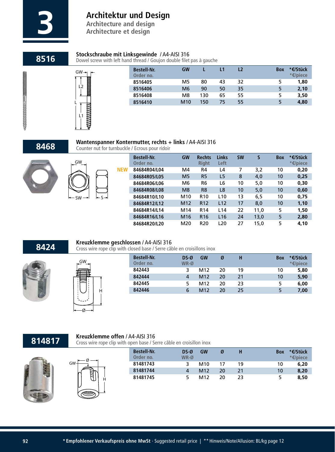

**8516 Stockschraube mit Linksgewinde** / A4-AISI 316<br>**8516** Dowel screw with left hand thread / Goujon double filet pas à gauche



| <b>Bestell-Nr.</b><br>Order no. | GW              |     |    |    | <b>Box</b> | *€/Stück<br>*€/piece |
|---------------------------------|-----------------|-----|----|----|------------|----------------------|
| 8516405                         | M <sub>5</sub>  | 80  | 43 | 32 | כ          | 1,80                 |
| 8516406                         | M <sub>6</sub>  | 90  | 50 | 35 | 5          | 2,10                 |
| 8516408                         | M8              | 130 | 65 | 55 | 5          | 3,50                 |
| 8516410                         | M <sub>10</sub> | 150 | 75 | 55 | 5          | 4,80                 |
|                                 |                 |     |    |    |            |                      |

**8468**

**Microsoft Contract** 

### **Wantenspanner Kontermutter, rechts + links** / A4-AISI 316 Counter nut for turnbuckle / Ecrous pour ridoir



|            | <b>Bestell-Nr.</b><br>Order no. | <b>GW</b>      | <b>Rechts</b><br><b>Right</b> | Links<br>Left   | <b>SW</b> | S    | <b>Box</b> | *€/Stück<br>*€/piece |
|------------|---------------------------------|----------------|-------------------------------|-----------------|-----------|------|------------|----------------------|
| <b>NEW</b> | 84684R04/L04                    | M4             | R4                            | L4              | 7         | 3,2  | 10         | 0,20                 |
|            | 84684R05/L05                    | M <sub>5</sub> | R <sub>5</sub>                | L5              | 8         | 4,0  | 10         | 0,25                 |
|            | 84684R06/L06                    | M6             | R <sub>6</sub>                | L6              | 10        | 5,0  | 10         | 0,30                 |
|            | 84684R08/L08                    | M <sub>8</sub> | R <sub>8</sub>                | L8              | 10        | 5,0  | 10         | 0,60                 |
|            | 84684R10/L10                    | M10            | R <sub>10</sub>               | L <sub>10</sub> | 13        | 6.5  | 10         | 0,75                 |
|            | 84684R12/L12                    | M12            | R <sub>12</sub>               | L12             | 17        | 8,0  | 10         | 1,10                 |
|            | 84684R14/L14                    | M14            | R <sub>14</sub>               | L <sub>14</sub> | 22        | 11,0 | 5          | 1,50                 |
|            | 84684R16/L16                    | M16            | R <sub>16</sub>               | L <sub>16</sub> | 24        | 13,0 | 5          | 2,80                 |
|            | 84684R20/L20                    | M20            | R <sub>20</sub>               | L <sub>20</sub> | 27        | 15.0 | 5          | 4,10                 |



### **Kreuzklemme geschlossen** / A4-AISI 316

Cross wire rope clip with closed base / Serre câble en croisillons inox



| <u>GW</u> |   |
|-----------|---|
|           | Н |
|           |   |

| <b>Bestell-Nr.</b><br>Order no. | $DS-Ø$<br>$WR-Ø$ | GW              | Ø  | н  | <b>Box</b> | *€/Stück<br>*€/piece |
|---------------------------------|------------------|-----------------|----|----|------------|----------------------|
| 842443                          |                  | M <sub>12</sub> | 20 | 19 | 10         | 5,80                 |
| 842444                          | 4                | M <sub>12</sub> | 20 | 21 | 10         | 5,90                 |
| 842445                          | 5                | M12             | 20 | 23 |            | 6,00                 |
| 842446                          | 6                | M <sub>12</sub> | 20 | 25 |            | 7,00                 |
|                                 |                  |                 |    |    |            |                      |

**814817**

### **Kreuzklemme offen** / A4-AISI 316 Cross wire rope clip with open base / Serre câble en croisillon inox

|  | $GW+$ |
|--|-------|
|  |       |
|  | μ     |



| ilii open base / serre capie en croisilion linox |                       |                 |     |    |            |                      |
|--------------------------------------------------|-----------------------|-----------------|-----|----|------------|----------------------|
| <b>Bestell-Nr.</b><br>Order no.                  | $DS-\alpha$<br>$WR-Ø$ | <b>GW</b>       | Ø   | н  | <b>Box</b> | *€/Stück<br>*€/piece |
| 81481743                                         |                       | M <sub>10</sub> | 17  | 19 | 10         | 6,20                 |
| 81481744                                         | 4                     | M <sub>12</sub> | 20  | 21 | 10         | 8,20                 |
| 81481745                                         | 5                     | M <sub>12</sub> | 20. | 23 | 5          | 8,50                 |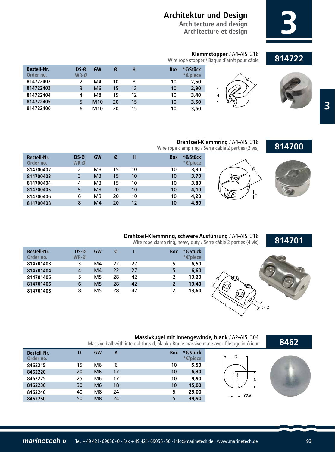**Architecture and design**

## **814722**

## **Klemmstopper** / A4-AISI 316

Wire rope stopper / Bague d'arrêt pour câble





Ø

H

DS Ø

| <b>Bestell-Nr.</b><br>Order no. | $DS-Ø$<br>$WR-Ø$ | <b>GW</b>       | Ø  | н  | <b>Box</b> | *€/Stück<br>*€/piece |
|---------------------------------|------------------|-----------------|----|----|------------|----------------------|
| 814722402                       |                  | M4              | 10 | 8  | 10         | 2,50                 |
| 814722403                       | 3                | M <sub>6</sub>  | 15 | 12 | 10         | 2,90                 |
| 814722404                       | 4                | M8              | 15 | 12 | 10         | 3,40                 |
| 814722405                       |                  | M <sub>10</sub> | 20 | 15 | 10         | 3,50                 |
| 814722406                       | 6                | M10             | 20 | 15 | 10         | 3,60                 |

**Bestell-Nr.**



### **Drahtseil-Klemmring** / A4-AISI 316

Wire rope clamp ring / Serre câble 2 parties (2 vis)

| <b>Bestell-Nr.</b><br>Order no. | $DS-Ø$<br>$WR-Ø$ | <b>GW</b>      | Ø  | н  | <b>Box</b> | *€/Stück<br>*€/piece |
|---------------------------------|------------------|----------------|----|----|------------|----------------------|
| 814700402                       |                  | M <sub>3</sub> | 15 | 10 | 10         | 3,30                 |
| 814700403                       | 3                | M <sub>3</sub> | 15 | 10 | 10         | 3,70                 |
| 814700404                       | 4                | M <sub>3</sub> | 15 | 10 | 10         | 3,80                 |
| 814700405                       | 5                | M <sub>3</sub> | 20 | 10 | 10         | 4,10                 |
| 814700406                       | 6                | M <sub>3</sub> | 20 | 10 | 10         | 4,20                 |
| 814700408                       | 8                | M <sub>4</sub> | 20 | 12 | 10         | 4,60                 |



### **Drahtseil-Klemmring, schwere Ausführung** / A4-AISI 316 Wire rope clamp ring, heavy duty / Serre câble 2 parties (A vis)

|                                 |                  |                |    |    |            |                      | <u>Write Tupe Claffib Ting, Heavy Quty / Serie Cable Z parties (4 Vis)</u><br><b>.</b> . |
|---------------------------------|------------------|----------------|----|----|------------|----------------------|------------------------------------------------------------------------------------------|
| <b>Bestell-Nr.</b><br>Order no. | $DS-Ø$<br>$WR-Ø$ | GW             | Ø  |    | <b>Box</b> | *€/Stück<br>*€/piece |                                                                                          |
| 814701403                       | 3                | M4             | 22 | 27 |            | 6,50                 |                                                                                          |
| 814701404                       | 4                | M <sub>4</sub> | 22 | 27 |            | 6,60                 |                                                                                          |
| 814701405                       |                  | M5             | 28 | 42 |            | 13,20                | ∞<br>Ø                                                                                   |
| 814701406                       | 6                | M <sub>5</sub> | 28 | 42 |            | 13,40                |                                                                                          |
| 814701408                       | 8                | M <sub>5</sub> | 28 | 42 |            | 13,60                | (©)                                                                                      |

**8462**

## **Massivkugel mit Innengewinde, blank** / A2-AISI 304

L

Massive ball with internal thread, blank / Boule massive mate avec filetage intérieur

| <b>Bestell-Nr.</b><br>Order no. | D  | <b>GW</b>      | A  | Box | *€/Stück<br>*€/piece |                 |  |
|---------------------------------|----|----------------|----|-----|----------------------|-----------------|--|
| 8462215                         | 15 | M6             | 6  | 10  | 5,50                 |                 |  |
| 8462220                         | 20 | M <sub>6</sub> | 17 | 10  | 6,30                 |                 |  |
| 8462225                         | 25 | M6             | 17 | 10  | 9,90                 | A               |  |
| 8462230                         | 30 | M <sub>6</sub> | 18 | 10  | 15,00                |                 |  |
| 8462240                         | 40 | M <sub>8</sub> | 24 | 5   | 25,00                |                 |  |
| 8462250                         | 50 | M <sub>8</sub> | 24 | 5   | 39,90                | $\leftarrow$ GW |  |